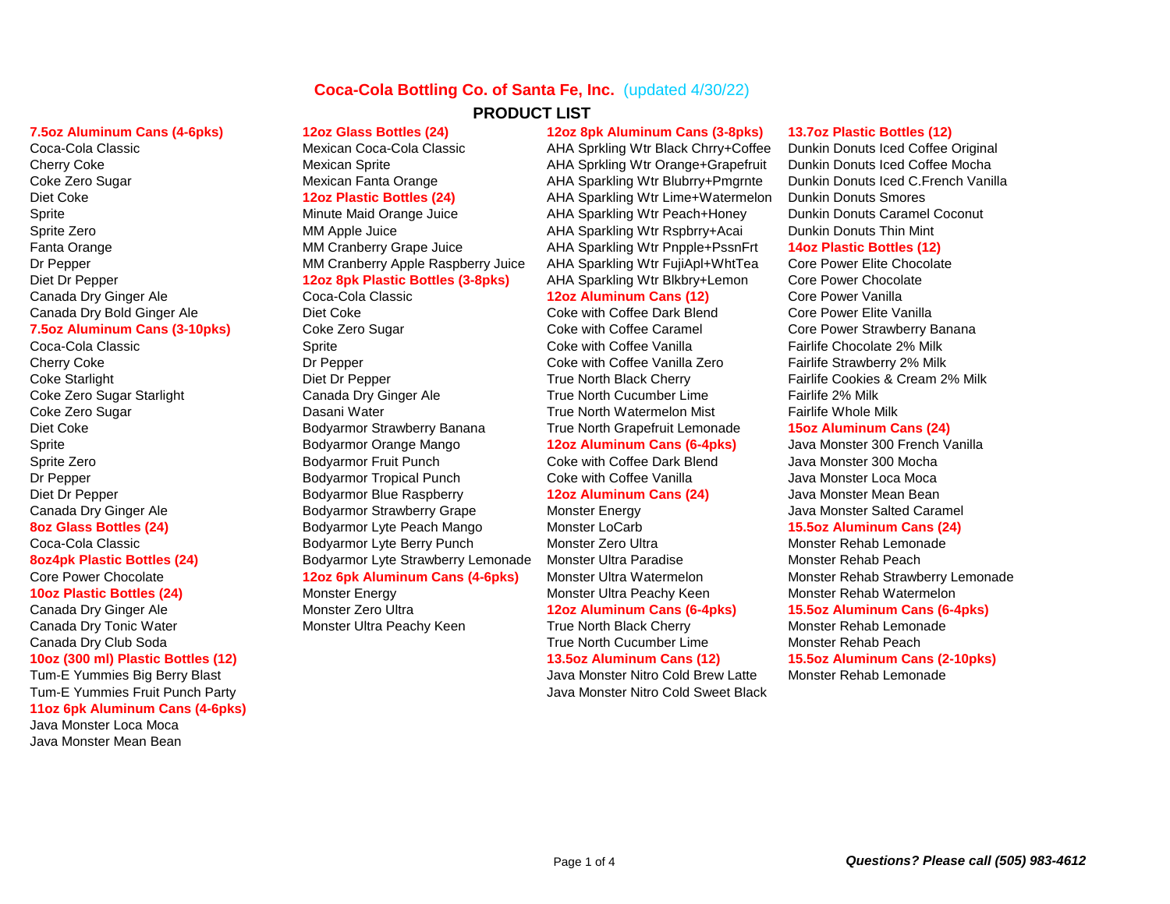## **Coca-Cola Bottling Co. of Santa Fe, Inc.** (updated 4/30/22)

Canada Dry Bold Ginger Ale **Collact Coke** Diet Coke Coke With Coffee Dark Blend Core Power Elite Vanilla

Coca-Cola Classic **Sprite Collate 2% Milk** Sprite Coca-Cola Coke with Coffee Vanilla Fairlife Chocolate 2% Milk Cherry Coke **Cherry Coke Dr Pepper** Coke with Coffee Vanilla Zero Fairlife Strawberry 2% Milk Coke Zero Sugar Starlight Canada Dry Ginger Ale True North Cucumber Lime Fairlife 2% Milk Coke Zero Sugar True Zero Sugar Nater True North Watermelon Mist Fairlife Whole Milk Diet Coke **Bodyarmor Strawberry Banana** True North Grapefruit Lemonade **15oz Aluminum Cans (24)** True North Grapefruit Lemonade Sprite Zero **Booth Communist Communist Communist Constant** Core with Coffee Dark Blend Java Monster 300 Mocha Dr Pepper Tropical Punch Coke with Coffee Vanilla Alexa Monster Loca Moca Coke with Coffee Vanilla Alexa Monster Loca Moca Diet Dr Pepper Bodyarmor Blue Raspberry **12oz Aluminum Cans (24)** Java Monster Mean Bean Canada Dry Ginger Ale **Bodyarmor Strawberry Grape** Monster Energy **Monster Salted Caramel** Java Monster Salted Caramel **8oz Glass Bottles (24)** Bodyarmor Lyte Peach Mango Monster LoCarb **15.5oz Aluminum Cans (24)** Coca-Cola Classic Bodyarmor Lyte Berry Punch Monster Zero Ultra Monster Rehab Lemonade **8oz4pk Plastic Bottles (24)** Bodyarmor Lyte Strawberry Lemonade Monster Ultra Paradise Monster Rehab Peach **10oz Plastic Bottles (24)** Monster Energy Monster Monster Ultra Peachy Keen Monster Rehab Watermelon Canada Dry Tonic Water **Mustic Cherry Monster Ultra Peachy Keen** True North Black Cherry Monster Rehab Lemonade Canada Dry Club Soda True North Cucumber Lime Monster Rehab Peach **10oz (300 ml) Plastic Bottles (12) 13.5oz Aluminum Cans (12) 15.5oz Aluminum Cans (2-10pks)**

Tum-E Yummies Big Berry Blast Java Monster Nitro Cold Brew Latte Monster Rehab Lemonade Tum-E Yummies Fruit Punch Party Java Monster Nitro Cold Sweet Black **11oz 6pk Aluminum Cans (4-6pks)** Java Monster Loca Moca Java Monster Mean Bean

# **PRODUCT LIST**

### Canada Dry Ginger Ale Coca-Cola Classic **12oz Aluminum Cans (12)** Core Power Vanilla

## **7.5oz Aluminum Cans (4-6pks) 12oz Glass Bottles (24) 12oz 8pk Aluminum Cans (3-8pks) 13.7oz Plastic Bottles (12)**

Coca-Cola Classic Mexican Coca-Cola Classic AHA Sprkling Wtr Black Chrry+Coffee Dunkin Donuts Iced Coffee Original Cherry Coke **Mexican Sprite Mexican Sprite** AHA Sprkling Wtr Orange+Grapefruit Dunkin Donuts Iced Coffee Mocha Coke Zero Sugar The Mexican Fanta Orange AHA Sparkling Wtr Blubrry+Pmgrnte Dunkin Donuts Iced C.French Vanilla Diet Coke **12oz Plastic Bottles (24)** AHA Sparkling Wtr Lime+Watermelon Dunkin Donuts Smores Sprite Minute Maid Orange Juice AHA Sparkling Wtr Peach+Honey Dunkin Donuts Caramel Coconut Sprite Zero **MM Apple Juice** AHA Sparkling Wtr Rspbrry+Acai Dunkin Donuts Thin Mint Fanta Orange MM Cranberry Grape Juice AHA Sparkling Wtr Pnpple+PssnFrt **14oz Plastic Bottles (12)** Dr Pepper MM Cranberry Apple Raspberry Juice AHA Sparkling Wtr FujiApl+WhtTea Core Power Elite Chocolate Diet Dr Pepper **12oz 8pk Plastic Bottles (3-8pks)** AHA Sparkling Wtr Blkbry+Lemon Core Power Chocolate

## Sprite Bodyarmor Orange Mango **12oz Aluminum Cans (6-4pks)** Java Monster 300 French Vanilla

**7.5oz Aluminum Cans (3-10pks)** Coke Zero Sugar Coke With Coffee Caramel Core Power Strawberry Banana Coke Starlight True North Black Cherry Fairlife Cookies & Cream 2% Milk

Core Power Chocolate **12oz 6pk Aluminum Cans (4-6pks)** Monster Ultra Watermelon Monster Rehab Strawberry Lemonade

## Canada Dry Ginger Ale Monster Zero Ultra **12oz Aluminum Cans (6-4pks) 15.5oz Aluminum Cans (6-4pks)**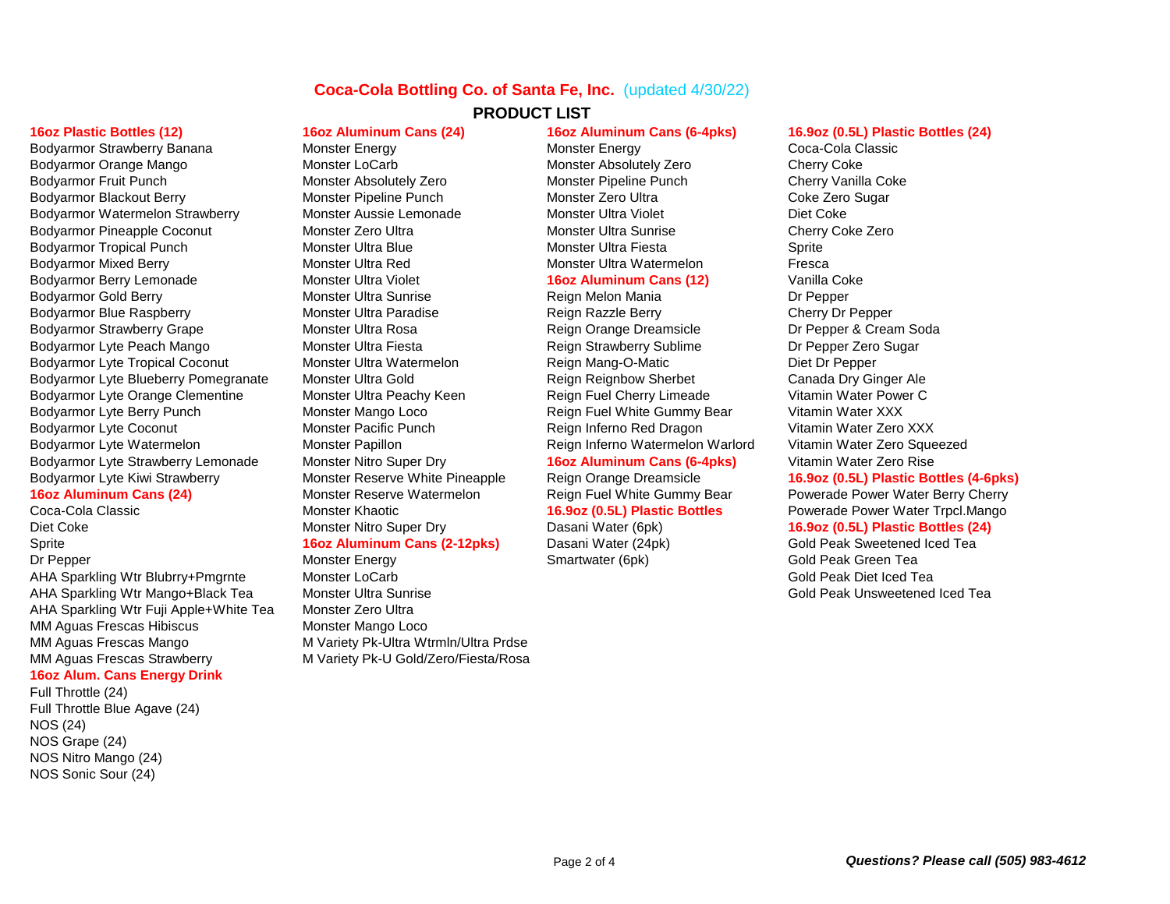## **Coca-Cola Bottling Co. of Santa Fe, Inc.** (updated 4/30/22)

Bodyarmor Strawberry Banana **Monster Energy Coca-Cola Classic** Monster Energy Coca-Cola Classic Bodyarmor Orange Mango **Monster LoCarb** Monster Absolutely Zero Cherry Coke Cherry Coke Bodyarmor Fruit Punch **Monster Absolutely Zero** Monster Pipeline Punch Cherry Vanilla Coke Bodyarmor Blackout Berry **Monster Pipeline Punch** Monster Zero Ultra Coke Zero Sugar Bodyarmor Watermelon Strawberry Monster Aussie Lemonade Monster Ultra Violet Diet Coke Bodyarmor Pineapple Coconut **Monster Zero Ultra** Monster Monster Ultra Sunrise Cherry Coke Zero Bodyarmor Tropical Punch Monster Ultra Blue Monster Ultra Fiesta Sprite Bodyarmor Mixed Berry **Multimer Constant Constant Monster Ultra Monster Ultra Watermelon** Fresca Bodyarmor Berry Lemonade Monster Ultra Violet **16oz Aluminum Cans (12)** Vanilla Coke Bodyarmor Gold Berry **Monster Ultra Sunrise** Reign Melon Mania **Notal Constant Constanting Constanting Constanting** Bodyarmor Blue Raspberry **Monster Ultra Paradise** Reign Razzle Berry Cherry Cherry Dr Pepper Bodyarmor Strawberry Grape **Monster Ultra Rosa** Reign Orange Dreamsicle **Dreamsicle** Dr Pepper & Cream Soda Bodyarmor Lyte Peach Mango **Monster Ultra Fiesta** Reign Strawberry Sublime **Reign Strawberry Sublime** Dr Pepper Zero Sugar Bodyarmor Lyte Tropical Coconut Monster Ultra Watermelon Reign Mang-O-Matic Diet Dr Pepper Bodyarmor Lyte Blueberry Pomegranate Monster Ultra Gold **Reign Reign Reignbow Sherbet** Canada Dry Ginger Ale Bodyarmor Lyte Orange Clementine Monster Ultra Peachy Keen Reign Fuel Cherry Limeade Vitamin Water Power C Bodyarmor Lyte Berry Punch **Monster Mango Loco** Reign Fuel White Gummy Bear Vitamin Water XXX Bodyarmor Lyte Coconut **Monster Pacific Punch** Reign Inferno Red Dragon Vitamin Water Zero XXX Bodyarmor Lyte Watermelon **Monster Papillon** Monster Papillon Reign Inferno Watermelon Warlord Vitamin Water Zero Squeezed Bodyarmor Lyte Strawberry Lemonade Monster Nitro Super Dry **16oz Aluminum Cans (6-4pks)** Vitamin Water Zero Rise Bodyarmor Lyte Kiwi Strawberry **Monster Reserve White Pineapple** Reign Orange Dreamsicle **16.9oz (0.5L) Plastic Bottles (4-6pks)** 

Coca-Cola Classic Monster Khaotic **16.9oz (0.5L) Plastic Bottles** Powerade Power Water Trpcl.Mango Diet Coke **Monster Nitro Super Dry Dasani Water (6pk) 16.9oz (0.5L) Plastic Bottles (24)** Dasani Water (6pk) Sprite **16oz Aluminum Cans (2-12pks)** Dasani Water (24pk) Gold Peak Sweetened Iced Tea Dr Pepper Team Cold Peak Green Team Monster Energy Smartwater (6pk) Smartwater (6pk) Gold Peak Green Team AHA Sparkling Wtr Blubrry+Pmgrnte Monster LoCarb Gold Peak Diet Iced Tea AHA Sparkling Wtr Mango+Black Tea Monster Ultra Sunrise Gold Peak Unsweetened Iced Tea AHA Sparkling Wtr Fuji Apple+White Tea Monster Zero Ultra MM Aguas Frescas Hibiscus Monster Mango Loco MM Aguas Frescas Mango M Variety Pk-Ultra Wtrmln/Ultra Prdse MM Aguas Frescas Strawberry M Variety Pk-U Gold/Zero/Fiesta/Rosa

## **16oz Alum. Cans Energy Drink**

Full Throttle (24)

Full Throttle Blue Agave (24) NOS (24) NOS Grape (24) NOS Nitro Mango (24) NOS Sonic Sour (24)

**PRODUCT LIST**

### **16oz Plastic Bottles (12) 16oz Aluminum Cans (24) 16oz Aluminum Cans (6-4pks) 16.9oz (0.5L) Plastic Bottles (24)**

**16oz Aluminum Cans (24)** Monster Reserve Watermelon Reign Fuel White Gummy Bear Powerade Power Water Berry Cherry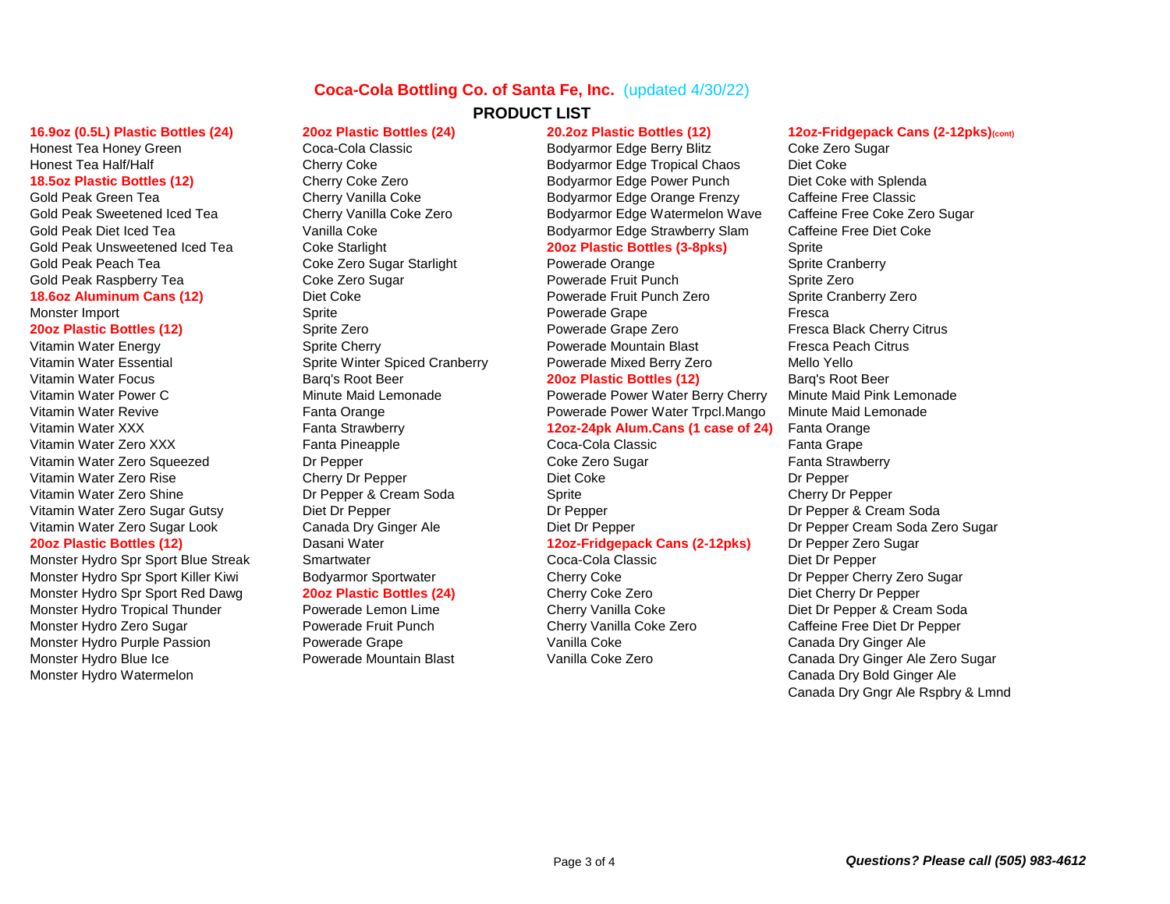## **Coca-Cola Bottling Co. of Santa Fe, Inc.** (updated 4/30/22) **PRODUCT LIST**

Gold Peak Unsweetened Iced Tea Coke Starlight **20oz Plastic Bottles (3-8pks)** Sprite Gold Peak Peach Tea **Coke Zero Sugar Starlight** Powerade Orange **Powerade Sprite Cranberry** Sprite Cranberry Gold Peak Raspberry Tea Coke Zero Sugar Powerade Fruit Punch Sprite Zero

Vitamin Water Energy **Sprite Cherry Servet Accountant Blast** Powerade Mountain Blast Fresca Peach Citrus **Proverage Intervals** Vitamin Water Essential Sprite Winter Spiced Cranberry Powerade Mixed Berry Zero Mello Yello Vitamin Water Focus Barq's Root Beer **20oz Plastic Bottles (12)** Barq's Root Beer Vitamin Water Power C **Minute Maid Lemonade** Powerade Power Water Berry Cherry Minute Maid Pink Lemonade Vitamin Water Zero XXX Fanta Pineapple Coca-Cola Classic Fanta Grape Fanta Grape Vitamin Water Zero Squeezed **Dreaming Dr Pepper** Coke Zero Sugar Fanta Strawberry Vitamin Water Zero Rise **Cherry Dr Pepper** Diet Coke Diet Coke Diet Coke Dr Pepper Vitamin Water Zero Shine **Dr Pepper & Cream Soda** Sprite Cherry Dr Pepper Cherry Dr Pepper & Cream Soda Vitamin Water Zero Sugar Gutsy Diet Dr Pepper Dr Pepper Dr Pepper Dr Pepper Dr Pepper Dr Pepper & Cream Soda **20oz Plastic Bottles (12)** Dasani Water **12oz-Fridgepack Cans (2-12pks)** Dr Pepper Zero Sugar

Monster Hydro Spr Sport Killer Kiwi Bodyarmor Sportwater Cherry Coke Cherry Coke Dr Pepper Cherry Zero Sugar Monster Hydro Spr Sport Red Dawg **20oz Plastic Bottles (24)** Cherry Coke Zero Diet Cherry Dr Pepper Monster Hydro Tropical Thunder **Powerade Lemon Lime** Cherry Vanilla Coke **Diet Diet Dr Pepper & Cream Soda** Monster Hydro Zero Sugar **Powerade Fruit Punch Cherry Vanilla Coke Zero** Caffeine Free Diet Dr Pepper Monster Hydro Purple Passion **Powerade Grape Proverage Vanilla Coke** Vanilla Coke Canada Dry Ginger Ale Monster Hydro Blue Ice **Nowerade Mountain Blast** Vanilla Coke Zero Canada Dry Ginger Ale Zero Sugar Monster Hydro Watermelon **Monster Hydro Watermelon** Canada Dry Bold Ginger Ale

Monster Hydro Spr Sport Blue Streak Smartwater Coca-Cola Classic Diet Dr Pepper

Honest Tea Honey Green Coca-Cola Classic Bodyarmor Edge Berry Blitz Coke Zero Sugar Honest Tea Half/Half **Cherry Coke** Cherry Coke Bodyarmor Edge Tropical Chaos Diet Coke 18.5oz Plastic Bottles (12) **Cherry Coke Zero** Bodyarmor Edge Power Punch Diet Coke with Splenda Gold Peak Green Tea **Cherry Vanilla Coke** Bodyarmor Edge Orange Frenzy Caffeine Free Classic Gold Peak Sweetened Iced Tea Cherry Vanilla Coke Zero Bodyarmor Edge Watermelon Wave Caffeine Free Coke Zero Sugar Gold Peak Diet Iced Tea **Boot Cold Peak Diet Coke** Bodyarmor Edge Strawberry Slam Caffeine Free Diet Coke

**18.6oz Aluminum Cans (12)** Diet Coke **Powerade Fruit Punch Zero** Sprite Cranberry Zero Monster Import **Support Sprite** Sprite Research Sprite Powerade Grape Fresca **20oz Plastic Bottles (12)** Sprite Zero Sprite Zero Powerade Grape Zero Fresca Black Cherry Citrus

Vitamin Water Revive **Fanta Orange Fanta Orange Powerade Power Water Trpcl.Mango** Minute Maid Lemonade Vitamin Water XXX Fanta Strawberry **12oz-24pk Alum.Cans (1 case of 24)** Fanta Orange

## **16.9oz (0.5L) Plastic Bottles (24) 20oz Plastic Bottles (24) 20.2oz Plastic Bottles (12) 12oz-Fridgepack Cans (2-12pks)(cont)**

Vitamin Water Zero Sugar Look Canada Dry Ginger Ale Diet Dr Pepper Cream Soda Zero Sugar Dr Pepper Cream Soda Zero Sugar Canada Dry Gngr Ale Rspbry & Lmnd